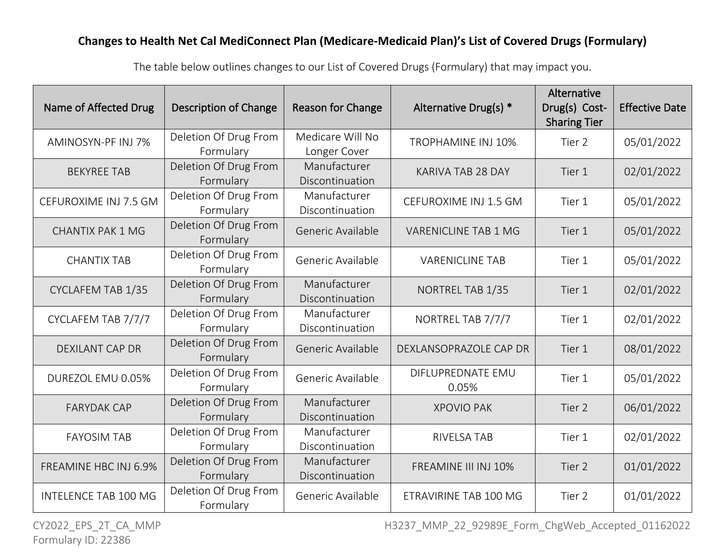Name of Affected Drug | Description of Change | Reason for Change | Alternative Drug(s)  $*$ Alternative Drug(s) Cost-Sharing Tier Effective Date AMINOSYN-PF INJ 7% Deletion Of Drug From Formulary Medicare Will No Longer Cover TROPHAMINE INJ 10% Tier 2 05/01/2022 BEKYREE TAB Deletion Of Drug From Formulary Manufacturer Discontinuation KARIVA TAB 28 DAY  $\vert$  Tier 1 02/01/2022 CEFUROXIME INJ 7.5 GM  $\vert$  Deletion Of Drug From Formulary Manufacturer Discontinuation CEFUROXIME INJ 1.5 GM  $\vert$  Tier 1 05/01/2022 CHANTIX PAK  $1 \text{ MG}$  Deletion Of Drug From Formulary Generic Available | VARENICLINE TAB 1 MG | Tier 1 | 05/01/2022 CHANTIX TAB Deletion Of Drug From Formulary Generic Available | VARENICLINE TAB | Tier 1 | 05/01/2022 CYCLAFEM TAB 1/35 Deletion Of Drug From Formulary Manufacturer Discontinuation NORTREL TAB 1/35 Tier 1 02/01/2022 CYCLAFEM TAB 7/7/7 Deletion Of Drug From Formulary Manufacturer Discontinuation NORTREL TAB 7/7/7 Tier 1 02/01/2022 DEXILANT CAP DR Deletion Of Drug From Formulary Generic Available | DEXLANSOPRAZOLE CAP DR | Tier 1 | 08/01/2022 DUREZOL EMU 0.05% Deletion Of Drug From Formulary Generic Available DIFLUPREDNATE EMU 0.05% Tier 1 05/01/2022 FARYDAK CAP Deletion Of Drug From Formulary Manufacturer Discontinuation  $XPOVIO PAK$   $|$  Tier 2  $|$  06/01/2022 FAYOSIM TAB Deletion Of Drug From Formulary Manufacturer Discontinuation RIVELSA TAB Tier 1 02/01/2022 FREAMINE HBC INJ 6.9% Deletion Of Drug From Formulary Manufacturer Discontinuation FREAMINE III INJ 10% | Tier 2 | 01/01/2022 INTELENCE TAB 100 MG  $\vert$  Deletion Of Drug From Formulary Generic Available | ETRAVIRINE TAB 100 MG | Tier 2 | 01/01/2022

The table below outlines changes to our List of Covered Drugs (Formulary) that may impact you.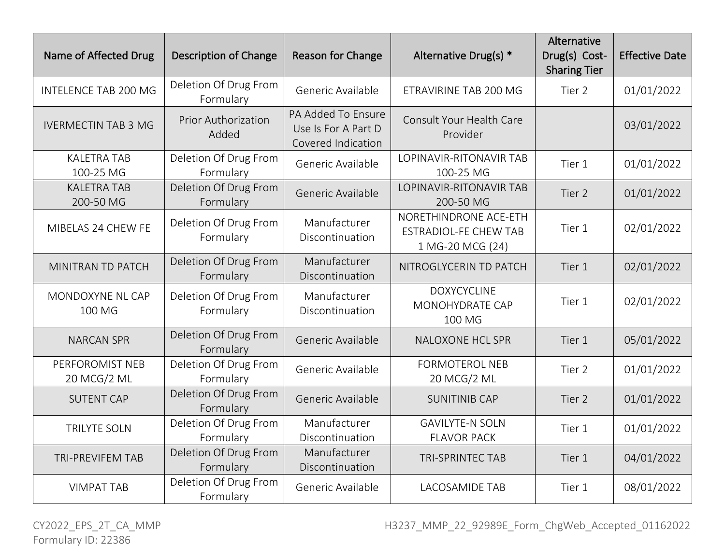| Name of Affected Drug           | <b>Description of Change</b>        | <b>Reason for Change</b>                                        | Alternative Drug(s) *                                                     | Alternative<br>Drug(s) Cost-<br><b>Sharing Tier</b> | <b>Effective Date</b> |
|---------------------------------|-------------------------------------|-----------------------------------------------------------------|---------------------------------------------------------------------------|-----------------------------------------------------|-----------------------|
| <b>INTELENCE TAB 200 MG</b>     | Deletion Of Drug From<br>Formulary  | Generic Available                                               | ETRAVIRINE TAB 200 MG                                                     | Tier 2                                              | 01/01/2022            |
| <b>IVERMECTIN TAB 3 MG</b>      | <b>Prior Authorization</b><br>Added | PA Added To Ensure<br>Use Is For A Part D<br>Covered Indication | Consult Your Health Care<br>Provider                                      |                                                     | 03/01/2022            |
| <b>KALETRA TAB</b><br>100-25 MG | Deletion Of Drug From<br>Formulary  | Generic Available                                               | LOPINAVIR-RITONAVIR TAB<br>100-25 MG                                      | Tier 1                                              | 01/01/2022            |
| <b>KALETRA TAB</b><br>200-50 MG | Deletion Of Drug From<br>Formulary  | Generic Available                                               | <b>LOPINAVIR-RITONAVIR TAB</b><br>200-50 MG                               | Tier 2                                              | 01/01/2022            |
| MIBELAS 24 CHEW FE              | Deletion Of Drug From<br>Formulary  | Manufacturer<br>Discontinuation                                 | NORETHINDRONE ACE-ETH<br><b>ESTRADIOL-FE CHEW TAB</b><br>1 MG-20 MCG (24) | Tier 1                                              | 02/01/2022            |
| MINITRAN TD PATCH               | Deletion Of Drug From<br>Formulary  | Manufacturer<br>Discontinuation                                 | NITROGLYCERIN TD PATCH                                                    | Tier 1                                              | 02/01/2022            |
| MONDOXYNE NL CAP<br>100 MG      | Deletion Of Drug From<br>Formulary  | Manufacturer<br>Discontinuation                                 | <b>DOXYCYCLINE</b><br>MONOHYDRATE CAP<br>100 MG                           | Tier 1                                              | 02/01/2022            |
| <b>NARCAN SPR</b>               | Deletion Of Drug From<br>Formulary  | Generic Available                                               | <b>NALOXONE HCL SPR</b>                                                   | Tier 1                                              | 05/01/2022            |
| PERFOROMIST NEB<br>20 MCG/2 ML  | Deletion Of Drug From<br>Formulary  | Generic Available                                               | <b>FORMOTEROL NEB</b><br>20 MCG/2 ML                                      | Tier 2                                              | 01/01/2022            |
| <b>SUTENT CAP</b>               | Deletion Of Drug From<br>Formulary  | Generic Available                                               | <b>SUNITINIB CAP</b>                                                      | Tier 2                                              | 01/01/2022            |
| <b>TRILYTE SOLN</b>             | Deletion Of Drug From<br>Formulary  | Manufacturer<br>Discontinuation                                 | <b>GAVILYTE-N SOLN</b><br><b>FLAVOR PACK</b>                              | Tier 1                                              | 01/01/2022            |
| <b>TRI-PREVIFEM TAB</b>         | Deletion Of Drug From<br>Formulary  | Manufacturer<br>Discontinuation                                 | <b>TRI-SPRINTEC TAB</b>                                                   | Tier 1                                              | 04/01/2022            |
| <b>VIMPAT TAB</b>               | Deletion Of Drug From<br>Formulary  | Generic Available                                               | <b>LACOSAMIDE TAB</b>                                                     | Tier 1                                              | 08/01/2022            |